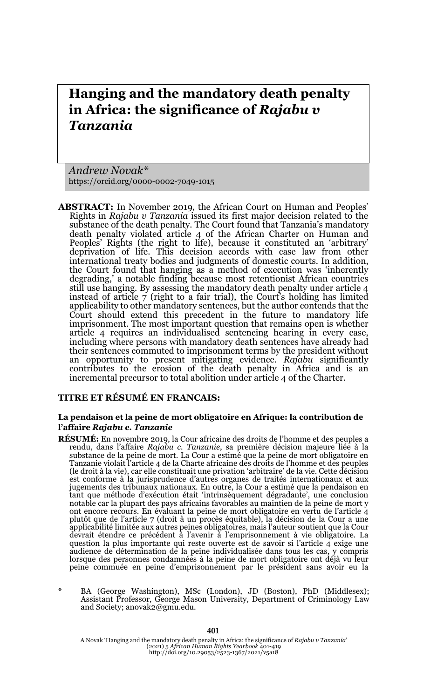# **Hanging and the mandatory death penalty in Africa: the significance of** *Rajabu v Tanzania*

*Andrew Novak\** https://orcid.org/0000-0002-7049-1015

**ABSTRACT:** In November 2019, the African Court on Human and Peoples' Rights in *Rajabu v Tanzania* issued its first major decision related to the substance of the death penalty. The Court found that Tanzania's mandatory death penalty violated article 4 of the African Charter on Human and Peoples' Rights (the right to life), because it constituted an 'arbitrary' deprivation of life. This decision accords with case law from other international treaty bodies and judgments of domestic courts. In addition, the Court found that hanging as a method of execution was 'inherently degrading,' a notable finding because most retentionist African countries still use hanging. By assessing the mandatory death penalty under article 4 instead of article 7 (right to a fair trial), the Court's holding has limited applicability to other mandatory sentences, but the author contends that the Court should extend this precedent in the future to mandatory life imprisonment. The most important question that remains open is whether article 4 requires an individualised sentencing hearing in every case, including where persons with mandatory death sentences have already had their sentences commuted to imprisonment terms by the president without an opportunity to present mitigating evidence. *Rajabu* significantly contributes to the erosion of the death penalty in Africa and is an incremental precursor to total abolition under article 4 of the Charter.

#### **TITRE ET RÉSUMÉ EN FRANCAIS:**

#### **La pendaison et la peine de mort obligatoire en Afrique: la contribution de l'affaire** *Rajabu c. Tanzanie*

- **RÉSUMÉ:** En novembre 2019, la Cour africaine des droits de l'homme et des peuples a rendu, dans l'affaire *Rajabu c. Tanzanie*, sa première décision majeure liée à la substance de la peine de mort. La Cour a estimé que la peine de mort obligatoire en Tanzanie violait l'article 4 de la Charte africaine des droits de l'homme et des peuples (le droit à la vie), car elle constituait une privation 'arbitraire' de la vie. Cette décision est conforme à la jurisprudence d'autres organes de traités internationaux et aux jugements des tribunaux nationaux. En outre, la Cour a estimé que la pendaison en tant que méthode d'exécution était 'intrinsèquement dégradante', une conclusion notable car la plupart des pays africains favorables au maintien de la peine de mort y ont encore recours. En évaluant la peine de mort obligatoire en vertu de l'article 4 plutôt que de l'article 7 (droit à un procès équitable), la décision de la Cour a une applicabilité limitée aux autres peines obligatoires, mais l'auteur soutient que la Cour<br>devrait étendre ce précédent à l'avenir à l'emprisonnement à vie obligatoire. La<br>question la plus importante qui reste ouverte est de audience de détermination de la peine individualisée dans tous les cas, y compris lorsque des personnes condamnées à la peine de mort obligatoire ont déjà vu leur peine commuée en peine d'emprisonnement par le président sans avoir eu la
- \* BA (George Washington), MSc (London), JD (Boston), PhD (Middlesex); Assistant Professor, George Mason University, Department of Criminology Law and Society; anovak2@gmu.edu.

A Novak 'Hanging and the mandatory death penalty in Africa: the significance of *Rajabu v Tanzania'*<br>(2021) 5 *African Human Rights Yearbook 4*01-419<br>http://doi.org/10.29053/2523-1367/2021/v5a18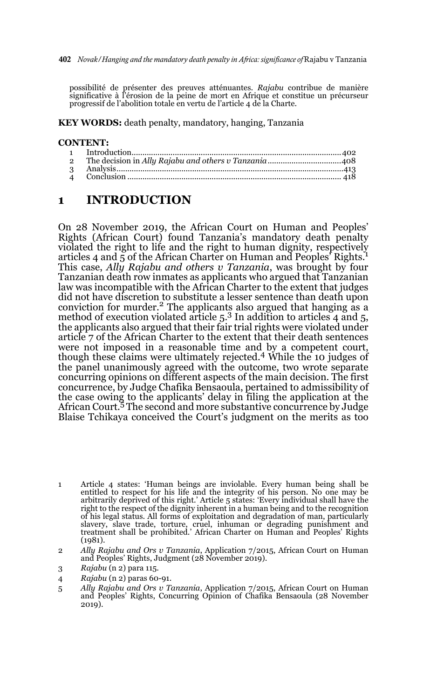possibilité de présenter des preuves atténuantes. *Rajabu* contribue de manière significative à l'érosion de la peine de mort en Afrique et constitue un précurseur progressif de l'abolition totale en vertu de l'article 4 de la Charte.

**KEY WORDS:** death penalty, mandatory, hanging, Tanzania

#### **CONTENT:**

### **1 INTRODUCTION**

On 28 November 2019, the African Court on Human and Peoples' Rights (African Court) found Tanzania's mandatory death penalty violated the right to life and the right to human dignity, respectively articles 4 and 5 of the African Charter on Human and Peoples' Rights. This case, *Ally Rajabu and others v Tanzania*, was brought by four Tanzanian death row inmates as applicants who argued that Tanzanian law was incompatible with the African Charter to the extent that judges did not have discretion to substitute a lesser sentence than death upon conviction for murder.<sup>2</sup> The applicants also argued that hanging as a method of execution violated article  $5<sup>3</sup>$  In addition to articles 4 and  $5<sup>5</sup>$ the applicants also argued that their fair trial rights were violated under article 7 of the African Charter to the extent that their death sentences were not imposed in a reasonable time and by a competent court, though these claims were ultimately rejected.<sup>4</sup> While the 10 judges of the panel unanimously agreed with the outcome, two wrote separate concurring opinions on different aspects of the main decision. The first concurrence, by Judge Chafika Bensaoula, pertained to admissibility of the case owing to the applicants' delay in filing the application at the African Court.<sup>5</sup> The second and more substantive concurrence by Judge Blaise Tchikaya conceived the Court's judgment on the merits as too

- 3 *Rajabu* (n 2) para 115.
- 4 *Rajabu* (n 2) paras 60-91.
- 5 *Ally Rajabu and Ors v Tanzania*, Application 7/2015, African Court on Human and Peoples' Rights, Concurring Opinion of Chafika Bensaoula (28 November 2019).

<sup>1</sup> Article 4 states: 'Human beings are inviolable. Every human being shall be entitled to respect for his life and the integrity of his person. No one may be arbitrarily deprived of this right.' Article 5 states: 'Every ind right to the respect of the dignity inherent in a human being and to the recognition of his legal status. All forms of exploitation and degradation of man, particularly slavery, slave trade, torture, cruel, inhuman or degrading punishment and treatment shall be prohibited.' African Charter on Human and Peoples' Rights (1981).

<sup>2</sup> *Ally Rajabu and Ors v Tanzania*, Application 7/2015, African Court on Human and Peoples' Rights, Judgment (28 November 2019).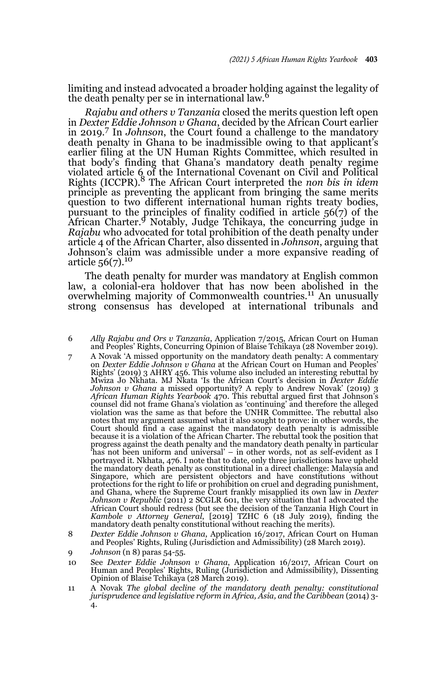limiting and instead advocated a broader holding against the legality of the death penalty per se in international law.<sup>6</sup>

*Rajabu and others v Tanzania* closed the merits question left open in *Dexter Eddie Johnson v Ghana*, decided by the African Court earlier in 2019.<sup>7</sup> In *Johnson*, the Court found a challenge to the mandatory death penalty in Ghana to be inadmissible owing to that applicant's earlier filing at the UN Human Rights Committee, which resulted in that body's finding that Ghana's mandatory death penalty regime violated article 6 of the International Covenant on Civil and Political Rights (ICCPR).8 The African Court interpreted the *non bis in idem* principle as preventing the applicant from bringing the same merits question to two different international human rights treaty bodies, pursuant to the principles of finality codified in article 56(7) of the African Charter.9 Notably, Judge Tchikaya, the concurring judge in *Rajabu* who advocated for total prohibition of the death penalty under article 4 of the African Charter, also dissented in *Johnson*, arguing that Johnson's claim was admissible under a more expansive reading of article 56(7).10

The death penalty for murder was mandatory at English common law, a colonial-era holdover that has now been abolished in the overwhelming majority of Commonwealth countries.<sup>11</sup> An unusually strong consensus has developed at international tribunals and

6 *Ally Rajabu and Ors v Tanzania*, Application 7/2015, African Court on Human and Peoples' Rights, Concurring Opinion of Blaise Tchikaya (28 November 2019).

- 7 A Novak 'A missed opportunity on the mandatory death penalty: A commentary on *Dexter Eddie Johnson v Ghana* at the African Court on Human and Peoples' Rights' (2019) 3 AHRY 456. This volume also included an interesting rebuttal by Mwiza Jo Nkhata. MJ Nkata 'Is the African Court's decision in *Dexter Eddie Johnson v Ghana* a missed opportunity? A reply to Andrew Novak' (2019) 3 *African Human Rights Yearbook* 470. This rebuttal argued first that Johnson's counsel did not frame Ghana's violation as 'continuing' and therefore the alleged violation was the same as that before the UNHR Committee. The rebuttal also notes that my argument assumed what it also sought to prove: in other words, the Court should find a case against the mandatory death penalty is admissible because it is a violation of the African Charter. The rebuttal took the position that progress against the death penalty and the mandatory death penalty in particular 'has not been uniform and universal' – in other words, not as self-evident as I portrayed it. Nkhata, 476. I note that to date, only three jurisdictions have upheld the mandatory death penalty as constitutional in a direct challenge: Malaysia and Singapore, which are persistent objectors and have constitutions without protections for the right to life or prohibition on cruel and degrading punishment, and Ghana, where the Supreme Court frankly misapplied its own law in *Dexter Johnson v Republic* (2011) 2 SCGLR 601, the very situation that I advocated the African Court should redress (but see the decision of the Tanzania High Court in *Kambole v Attorney General*, [2019] TZHC 6 (18 July 2019), finding the mandatory death penalty constitutional without reaching the merits).
- 8 *Dexter Eddie Johnson v Ghana*, Application 16/2017, African Court on Human and Peoples' Rights, Ruling (Jurisdiction and Admissibility) (28 March 2019).
- 9 *Johnson* (n 8) paras 54-55.
- 10 See *Dexter Eddie Johnson v Ghana*, Application 16/2017, African Court on Human and Peoples' Rights, Ruling (Jurisdiction and Admissibility), Dissenting Opinion of Blaise Tchikaya (28 March 2019).
- 11 A Novak *The global decline of the mandatory death penalty: constitutional jurisprudence and legislative reform in Africa, Asia, and the Caribbean* (2014) 3- 4.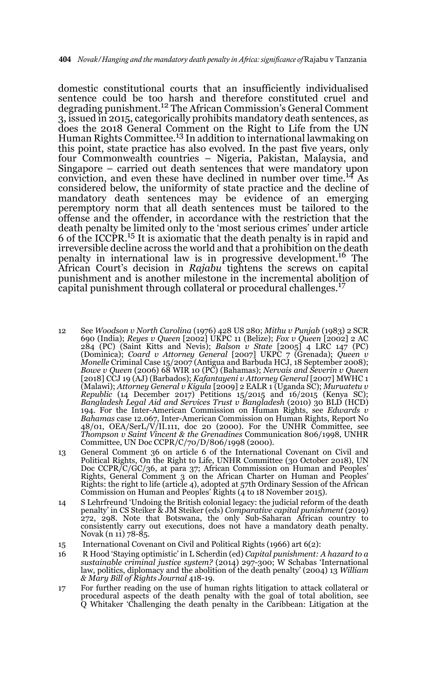domestic constitutional courts that an insufficiently individualised sentence could be too harsh and therefore constituted cruel and degrading punishment.12 The African Commission's General Comment 3, issued in 2015, categorically prohibits mandatory death sentences, as does the 2018 General Comment on the Right to Life from the UN Human Rights Committee.<sup>13</sup> In addition to international lawmaking on this point, state practice has also evolved. In the past five years, only four Commonwealth countries – Nigeria, Pakistan, Malaysia, and Singapore – carried out death sentences that were mandatory upon conviction, and even these have declined in number over time.14 As considered below, the uniformity of state practice and the decline of mandatory death sentences may be evidence of an emerging peremptory norm that all death sentences must be tailored to the offense and the offender, in accordance with the restriction that the death penalty be limited only to the 'most serious crimes' under article 6 of the ICCPR.15 It is axiomatic that the death penalty is in rapid and irreversible decline across the world and that a prohibition on the death penalty in international law is in progressive development.16 The African Court's decision in *Rajabu* tightens the screws on capital punishment and is another milestone in the incremental abolition of capital punishment through collateral or procedural challenges.<sup>17</sup>

- 12 See *Woodson v North Carolina* (1976) 428 US 280; *Mithu v Punjab* (1983) 2 SCR 690 (India); *Reyes v Queen* [2002] UKPC 11 (Belize); *Fox v Queen* [2002] 2 AC 284 (PC) (Saint Kitts and Nevis); *Balson v State* [2005] 4 LRC 147 (PC) (Dominica); *Coard v Attorney General* [2007] UKPC 7 (Grenada); *Queen v<br>Monelle* Criminal Case 15/2007 (Antigua and Barbuda HCJ, 18 September 2008);<br>*Bowe v Queen* (2006) 68 WIR 10 (PC) (Bahamas); *Nervais and Severin v Q* [2018] CCJ 19 (AJ) (Barbados); *Kafantayeni v Attorney General* [2007] MWHC 1 (Malawi); *Attorney General v Kigula* [2009] 2 EALR 1 (Uganda SC); *Muruatetu v Republic* (14 December 2017) Petitions 15/2015 and 16/2015 (Kenya SC); *Bangladesh Legal Aid and Services Trust v Bangladesh* (2010) 30 BLD (HCD) 194. For the Inter-American Commission on Human Rights, see *Edwards v Bahamas* case 12.067, Inter-American Commission on Human Rights, Report No 48/01, OEA/SerL/V/II.111, doc 20 (2000). For the UNHR Committee, see *Thompson v Saint Vincent & the Grenadines* Communication 806/1998, UNHR Committee, UN Doc CCPR/C/70/D/806/1998 (2000).
- 13 General Comment 36 on article 6 of the International Covenant on Civil and Political Rights, On the Right to Life, UNHR Committee (30 October 2018), UN Doc CCPR/C/GC/36, at para 37; African Commission on Human and Peoples' Rights, General Comment 3 on the African Charter on Human and Peoples' Rights: the right to life (article 4), adopted at 57th Ordinary Session of the African Commission on Human and Peoples' Rights (4 to 18 November 2015).
- 14 S Lehrfreund 'Undoing the British colonial legacy: the judicial reform of the death penalty' in CS Steiker & JM Steiker (eds) *Comparative capital punishment* (2019) 272, 298. Note that Botswana, the only Sub-Saharan African country to consistently carry out executions, does not have a mandatory death penalty. Novak (n 11) 78-85.
- 15 International Covenant on Civil and Political Rights (1966) art 6(2):
- 16 R Hood 'Staying optimistic' in L Scherdin (ed) *Capital punishment: A hazard to a sustainable criminal justice system?* (2014) 297-300; W Schabas 'International law, politics, diplomacy and the abolition of the death penalty' (2004) 13 *William & Mary Bill of Rights Journal* 418-19.
- 17 For further reading on the use of human rights litigation to attack collateral or procedural aspects of the death penalty with the goal of total abolition, see Q Whitaker 'Challenging the death penalty in the Caribbean: Litigation at the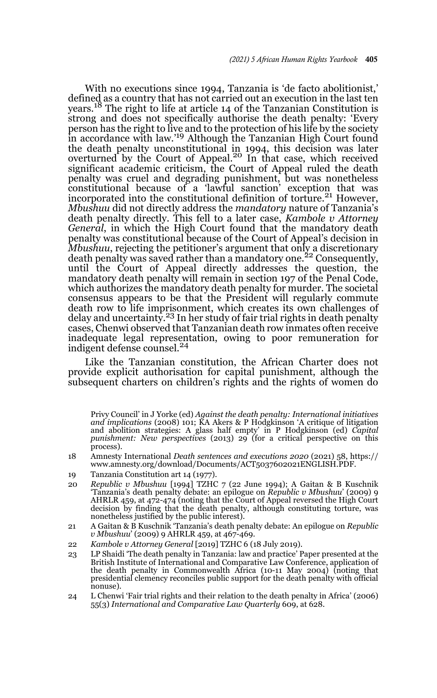With no executions since 1994, Tanzania is 'de facto abolitionist,' defined as a country that has not carried out an execution in the last ten years.18 The right to life at article 14 of the Tanzanian Constitution is strong and does not specifically authorise the death penalty: 'Every person has the right to live and to the protection of his life by the society in accordance with law.'19 Although the Tanzanian High Court found the death penalty unconstitutional in 1994, this decision was later<br>overturned by the Court of Appeal.<sup>20</sup> In that case, which received significant academic criticism, the Court of Appeal ruled the death penalty was cruel and degrading punishment, but was nonetheless constitutional because of a 'lawful sanction' exception that was incorporated into the constitutional definition of torture.21 However, *Mbushuu* did not directly address the *mandatory* nature of Tanzania's death penalty directly. This fell to a later case, *Kambole v Attorney General*, in which the High Court found that the mandatory death penalty was constitutional because of the Court of Appeal's decision in *Mbushuu*, rejecting the petitioner's argument that only a discretionary death penalty was saved rather than a mandatory one.<sup>22</sup> Consequently, until the Court of Appeal directly addresses the question, the mandatory death penalty will remain in section 197 of the Penal Code, which authorizes the mandatory death penalty for murder. The societal consensus appears to be that the President will regularly commute death row to life imprisonment, which creates its own challenges of delay and uncertainty.<sup>23</sup> In her study of fair trial rights in death penalty cases, Chenwi observed that Tanzanian death row inmates often receive inadequate legal representation, owing to poor remuneration for indigent defense counsel.<sup>24</sup>

Like the Tanzanian constitution, the African Charter does not provide explicit authorisation for capital punishment, although the subsequent charters on children's rights and the rights of women do

17 Privy Council' in J Yorke (ed) *Against the death penalty: International initiatives and implications* (2008) 101; KA Akers & P Hodgkinson 'A critique of litigation and abolition strategies: A glass half empty' in P Hodgkinson (ed) *Capital punishment: New perspectives* (2013) 29 (for a critical perspective on this process).

- 18 Amnesty International *Death sentences and executions 2020* (2021) 58, https:// www.amnesty.org/download/Documents/ACT5037602021ENGLISH.PDF.
- 19 Tanzania Constitution art 14 (1977).
- 20 *Republic v Mbushuu* [1994] TZHC 7 (22 June 1994); A Gaitan & B Kuschnik 'Tanzania's death penalty debate: an epilogue on *Republic v Mbushuu*' (2009) 9 AHRLR 459, at 472-474 (noting that the Court of Appeal reversed the High Court decision by finding that the death penalty, although constituting torture, was nonetheless justified by the public interest).
- 21 A Gaitan & B Kuschnik 'Tanzania's death penalty debate: An epilogue on *Republic v Mbushuu*' (2009) 9 AHRLR 459, at 467-469.
- 22 *Kambole v Attorney General* [2019] TZHC 6 (18 July 2019).
- 23 LP Shaidi 'The death penalty in Tanzania: law and practice' Paper presented at the British Institute of International and Comparative Law Conference, application of the death penalty in Commonwealth Africa (10-11 May 2004) (noting that presidential clemency reconciles public support for the death penalty with official nonuse).
- 24 L Chenwi 'Fair trial rights and their relation to the death penalty in Africa' (2006) 55(3) *International and Comparative Law Quarterly* 609, at 628.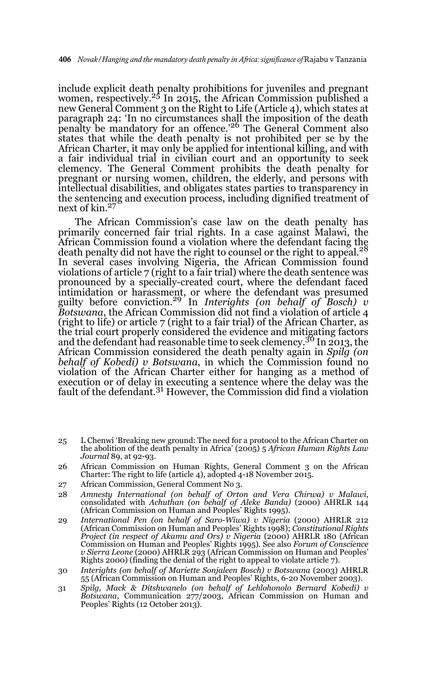include explicit death penalty prohibitions for juveniles and pregnant women, respectively.<sup>25</sup> In 2015, the African Commission published a new General Comment 3 on the Right to Life (Article 4), which states at paragraph 24: 'In no circumstances shall the imposition of the death penalty be mandatory for an offence.'26 The General Comment also states that while the death penalty is not prohibited per se by the African Charter, it may only be applied for intentional killing, and with a fair individual trial in civilian court and an opportunity to seek clemency. The General Comment prohibits the death penalty for pregnant or nursing women, children, the elderly, and persons with intellectual disabilities, and obligates states parties to transparency in the sentencing and execution process, including dignified treatment of next of kin.27

The African Commission's case law on the death penalty has primarily concerned fair trial rights. In a case against Malawi, the African Commission found a violation where the defendant facing the death penalty did not have the right to counsel or the right to appeal.<sup>28</sup> In several cases involving Nigeria, the African Commission found violations of article 7 (right to a fair trial) where the death sentence was pronounced by a specially-created court, where the defendant faced intimidation or harassment, or where the defendant was presumed guilty before conviction.29 In *Interights (on behalf of Bosch) v Botswana*, the African Commission did not find a violation of article 4 (right to life) or article 7 (right to a fair trial) of the African Charter, as the trial court properly considered the evidence and mitigating factors and the defendant had reasonable time to seek clemency.<sup>30</sup> In 2013, the African Commission considered the death penalty again in *Spilg (on behalf of Kobedi) v Botswana*, in which the Commission found no violation of the African Charter either for hanging as a method of execution or of delay in executing a sentence where the delay was the fault of the defendant.<sup>31</sup> However, the Commission did find a violation

- 25 L Chenwi 'Breaking new ground: The need for a protocol to the African Charter on the abolition of the death penalty in Africa' (2005) 5 *African Human Rights Law Journal* 89, at 92-93.
- 26 African Commission on Human Rights, General Comment 3 on the African Charter: The right to life (article 4), adopted 4-18 November 2015.
- 27 African Commission, General Comment No 3.
- 28 *Amnesty International (on behalf of Orton and Vera Chirwa) v Malawi*, consolidated with *Achuthan (on behalf of Aleke Banda)* (2000) AHRLR 144 (African Commission on Human and Peoples' Rights 1995).
- 29 *International Pen (on behalf of Saro-Wiwa) v Nigeria* (2000) AHRLR 212 (African Commission on Human and Peoples' Rights 1998); *Constitutional Rights Project (in respect of Akamu and Ors) v Nigeria* (2000) AHRLR 180 (African Commission on Human and Peoples' Rights 1995). See also *Forum of Conscience v Sierra Leone* (2000) AHRLR 293 (African Commission on Human and Peoples' Rights 2000) (finding the denial of the right to appeal to violate article 7).
- 30 *Interights (on behalf of Mariette Sonjaleen Bosch) v Botswana* (2003) AHRLR 55 (African Commission on Human and Peoples' Rights, 6-20 November 2003).
- 31 *Spilg, Mack & Ditshwanelo (on behalf of Lehlohonolo Bernard Kobedi) v Botswana*, Communication 277/2003, African Commission on Human and Peoples' Rights (12 October 2013).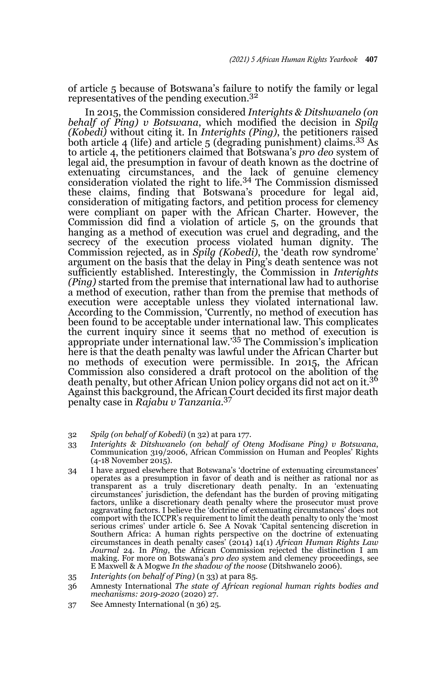of article 5 because of Botswana's failure to notify the family or legal representatives of the pending execution.<sup>32</sup>

In 2015, the Commission considered *Interights & Ditshwanelo (on behalf of Ping) v Botswana*, which modified the decision in *Spilg (Kobedi)* without citing it. In *Interights (Ping)*, the petitioners raised both article 4 (life) and article 5 (degrading punishment) claims.33 As to article 4, the petitioners claimed that Botswana's *pro deo* system of legal aid, the presumption in favour of death known as the doctrine of extenuating circumstances, and the lack of genuine clemency<br>consideration violated the right to life.<sup>34</sup> The Commission dismissed these claims, finding that Botswana's procedure for legal aid, consideration of mitigating factors, and petition process for clemency were compliant on paper with the African Charter. However, the Commission did find a violation of article 5, on the grounds that hanging as a method of execution was cruel and degrading, and the secrecy of the execution process violated human dignity. The Commission rejected, as in *Spilg (Kobedi)*, the 'death row syndrome' argument on the basis that the delay in Ping's death sentence was not sufficiently established. Interestingly, the Commission in *Interights (Ping)* started from the premise that international law had to authorise a method of execution, rather than from the premise that methods of execution were acceptable unless they violated international law. According to the Commission, 'Currently, no method of execution has been found to be acceptable under international law. This complicates the current inquiry since it seems that no method of execution is appropriate under international law.'35 The Commission's implication here is that the death penalty was lawful under the African Charter but no methods of execution were permissible. In 2015, the African Commission also considered a draft protocol on the abolition of the death penalty, but other African Union policy organs did not act on it.36 Against this background, the African Court decided its first major death penalty case in *Rajabu v Tanzania*. 37

- 32 *Spilg (on behalf of Kobedi)* (n 32) at para 177.
- 33 *Interights & Ditshwanelo (on behalf of Oteng Modisane Ping) v Botswana*, Communication 319/2006, African Commission on Human and Peoples' Rights (4-18 November 2015).
- 34 I have argued elsewhere that Botswana's 'doctrine of extenuating circumstances' operates as a presumption in favor of death and is neither as rational nor as transparent as a truly discretionary death penalty. In an 'extenuating circumstances' jurisdiction, the defendant has the burden of proving mitigating factors, unlike a discretionary death penalty where the prosecutor must prove aggravating factors. I believe the 'doctrine of extenuating circumstances' does not comport with the ICCPR's requirement to limit the death penalty to only the 'most serious crimes' under article 6. See A Novak 'Capital sentencing discretion in Southern Africa: A human rights perspective on the doctrine of extenuating circumstances in death penalty cases' (2014) 14(1) *African Human Rights Law Journal* 24. In *Ping*, the African Commission rejected the distinction I am making. For more on Botswana's *pro deo* system and clemency proceedings, see E Maxwell & A Mogwe *In the shadow of the noose* (Ditshwanelo 2006).
- 35 *Interights (on behalf of Ping)* (n 33) at para 85.
- 36 Amnesty International *The state of African regional human rights bodies and mechanisms: 2019-2020* (2020) 27.
- 37 See Amnesty International (n 36) 25.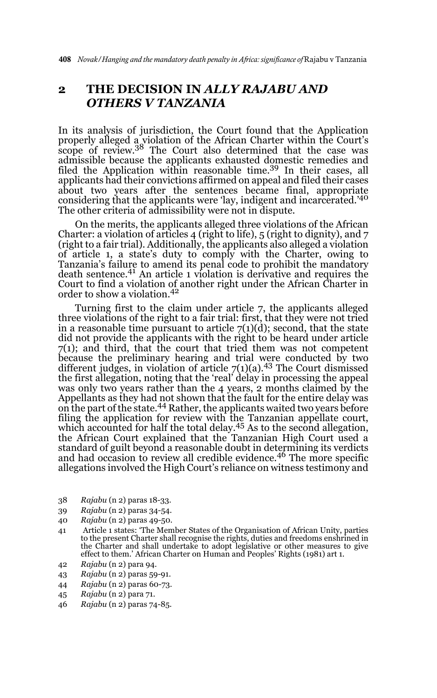### **2 THE DECISION IN** *ALLY RAJABU AND OTHERS V TANZANIA*

In its analysis of jurisdiction, the Court found that the Application properly alleged a violation of the African Charter within the Court's scope of review.<sup>38</sup> The Court also determined that the case was admissible because the applicants exhausted domestic remedies and filed the Application within reasonable time.<sup>39</sup> In their cases, all applicants had their convictions affirmed on appeal and filed their cases about two years after the sentences became final, appropriate<br>considering that the applicants were 'lay, indigent and incarcerated.'<sup>40</sup> The other criteria of admissibility were not in dispute.

On the merits, the applicants alleged three violations of the African Charter: a violation of articles 4 (right to life),  $5$  (right to dignity), and  $7$ (right to a fair trial). Additionally, the applicants also alleged a violation of article 1, a state's duty to comply with the Charter, owing to Tanzania's failure to amend its penal code to prohibit the mandatory death sentence.41 An article 1 violation is derivative and requires the Court to find a violation of another right under the African Charter in order to show a violation.42

Turning first to the claim under article 7, the applicants alleged three violations of the right to a fair trial: first, that they were not tried in a reasonable time pursuant to article  $7(1)(d)$ ; second, that the state did not provide the applicants with the right to be heard under article  $7(1)$ ; and third, that the court that tried them was not competent because the preliminary hearing and trial were conducted by two different judges, in violation of article  $7(1)(a)$ .<sup>43</sup> The Court dismissed the first allegation, noting that the 'real' delay in processing the appeal was only two years rather than the 4 years, 2 months claimed by the Appellants as they had not shown that the fault for the entire delay was on the part of the state.<sup>44</sup> Rather, the applicants waited two years before filing the application for review with the Tanzanian appellate court,<br>which accounted for half the total delay.<sup>45</sup> As to the second allegation, the African Court explained that the Tanzanian High Court used a standard of guilt beyond a reasonable doubt in determining its verdicts and had occasion to review all credible evidence.<sup>46</sup> The more specific allegations involved the High Court's reliance on witness testimony and

- 38 *Rajabu* (n 2) paras 18-33.
- 39 *Rajabu* (n 2) paras 34-54.
- 40 *Rajabu* (n 2) paras 49-50.
- 41 Article 1 states: 'The Member States of the Organisation of African Unity, parties to the present Charter shall recognise the rights, duties and freedoms enshrined in the Charter and shall undertake to adopt legislative or other measures to give effect to them.' African Charter on Human and Peoples' Rights (1981) art 1.
- 42 *Rajabu* (n 2) para 94.
- 43 *Rajabu* (n 2) paras 59-91.
- 44 *Rajabu* (n 2) paras 60-73.
- 45 *Rajabu* (n 2) para 71.
- 46 *Rajabu* (n 2) paras 74-85.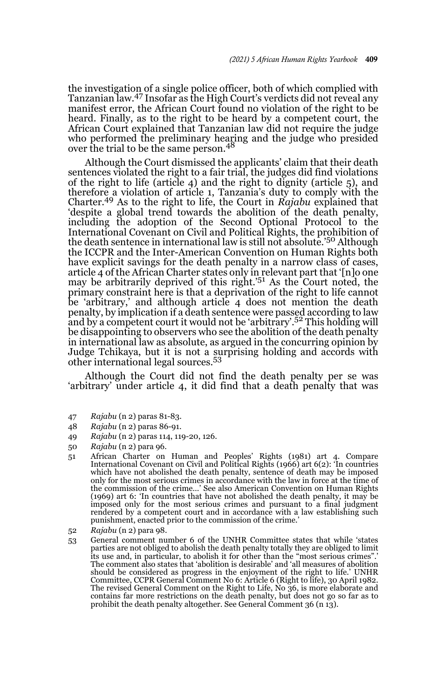the investigation of a single police officer, both of which complied with Tanzanian law.47 Insofar as the High Court's verdicts did not reveal any manifest error, the African Court found no violation of the right to be heard. Finally, as to the right to be heard by a competent court, the African Court explained that Tanzanian law did not require the judge who performed the preliminary hearing and the judge who presided over the trial to be the same person.<sup>48</sup>

Although the Court dismissed the applicants' claim that their death sentences violated the right to a fair trial, the judges did find violations of the right to life (article 4) and the right to dignity (article 5), and therefore a violation of article 1, Tanzania's duty to comply with the Charter.49 As to the right to life, the Court in *Rajabu* explained that 'despite a global trend towards the abolition of the death penalty, including the adoption of the Second Optional Protocol to the International Covenant on Civil and Political Rights, the prohibition of the death sentence in international law is still not absolute.'50 Although the ICCPR and the Inter-American Convention on Human Rights both have explicit savings for the death penalty in a narrow class of cases, article 4 of the African Charter states only in relevant part that '[n]o one may be arbitrarily deprived of this right.'51 As the Court noted, the primary constraint here is that a deprivation of the right to life cannot be 'arbitrary,' and although article 4 does not mention the death penalty, by implication if a death sentence were passed according to law and by a competent court it would not be 'arbitrary'.52 This holding will be disappointing to observers who see the abolition of the death penalty in international law as absolute, as argued in the concurring opinion by Judge Tchikaya, but it is not a surprising holding and accords with other international legal sources.<sup>53</sup>

Although the Court did not find the death penalty per se was 'arbitrary' under article 4, it did find that a death penalty that was

- 47 *Rajabu* (n 2) paras 81-83.
- 48 *Rajabu* (n 2) paras 86-91.
- 49 *Rajabu* (n 2) paras 114, 119-20, 126.
- 50 *Rajabu* (n 2) para 96.
- 51 African Charter on Human and Peoples' Rights (1981) art 4. Compare International Covenant on Civil and Political Rights (1966) art 6(2): 'In countries which have not abolished the death penalty, sentence of death may be imposed only for the most serious crimes in accordance with the law in force at the time of the commission of the crime…' See also American Convention on Human Rights (1969) art 6: 'In countries that have not abolished the death penalty, it may be imposed only for the most serious crimes and pursuant to a final judgment rendered by a competent court and in accordance with a law establishing such punishment, enacted prior to the commission of the crime.'
- 52 *Rajabu* (n 2) para 98.
- 53 General comment number 6 of the UNHR Committee states that while 'states parties are not obliged to abolish the death penalty totally they are obliged to limit its use and, in particular, to abolish it for other than the "most serious crimes". The comment also states that 'abolition is desirable' and 'all measures of abolition should be considered as progress in the enjoyment of the right to life.' UNHR Committee, CCPR General Comment No 6: Article 6 (Right to life), 30 April 1982. The revised General Comment on the Right to Life, No 36, is more elaborate and contains far more restrictions on the death penalty, but does not go so far as to prohibit the death penalty altogether. See General Comment 36 (n 13).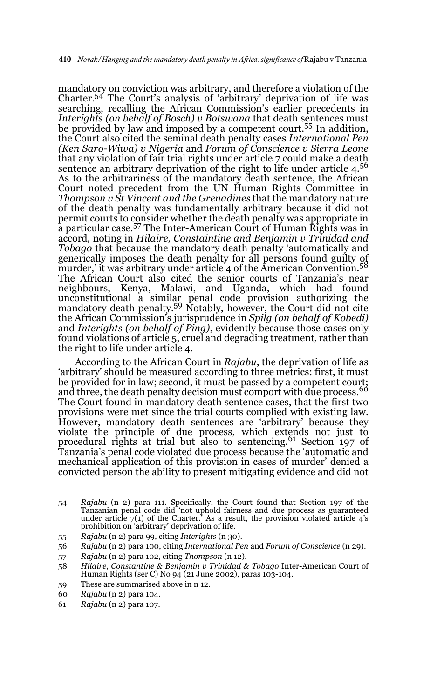mandatory on conviction was arbitrary, and therefore a violation of the Charter.54 The Court's analysis of 'arbitrary' deprivation of life was searching, recalling the African Commission's earlier precedents in *Interights (on behalf of Bosch) v Botswana* that death sentences must be provided by law and imposed by a competent court.<sup>55</sup> In addition, the Court also cited the seminal death penalty cases *International Pen (Ken Saro-Wiwa) v Nigeria* and *Forum of Conscience v Sierra Leone* that any violation of fair trial rights under article 7 could make a death sentence an arbitrary deprivation of the right to life under article 4.<sup>56</sup> As to the arbitrariness of the mandatory death sentence, the African Court noted precedent from the UN Human Rights Committee in *Thompson v St Vincent and the Grenadines* that the mandatory nature of the death penalty was fundamentally arbitrary because it did not permit courts to consider whether the death penalty was appropriate in a particular case.<sup>57</sup> The Inter-American Court of Human Rights was in accord, noting in *Hilaire, Constaintine and Benjamin v Trinidad and Tobago* that because the mandatory death penalty 'automatically and generically imposes the death penalty for all persons found guilty of<br>murder,' it was arbitrary under article 4 of the American Convention.<sup>58</sup> The African Court also cited the senior courts of Tanzania's near neighbours, Kenya, Malawi, and Uganda, which had found unconstitutional a similar penal code provision authorizing the mandatory death penalty.59 Notably, however, the Court did not cite the African Commission's jurisprudence in *Spilg (on behalf of Kobedi)* and *Interights (on behalf of Ping)*, evidently because those cases only found violations of article 5, cruel and degrading treatment, rather than the right to life under article 4.

According to the African Court in *Rajabu*, the deprivation of life as 'arbitrary' should be measured according to three metrics: first, it must be provided for in law; second, it must be passed by a competent court;<br>and three, the death penalty decision must comport with due process.<sup>60</sup> The Court found in mandatory death sentence cases, that the first two provisions were met since the trial courts complied with existing law. However, mandatory death sentences are 'arbitrary' because they violate the principle of due process, which extends not just to<br>procedural rights at trial but also to sentencing.<sup>61</sup> Section 197 of Tanzania's penal code violated due process because the 'automatic and mechanical application of this provision in cases of murder' denied a convicted person the ability to present mitigating evidence and did not

- 54 Rajabu (n 2) para 111. Specifically, the Court found that Section 197 of the Tanzanian penal code did 'not uphold fairness and due process as guaranteed under article  $7(1)$  of the Charter.' As a result, the provision prohibition on 'arbitrary' deprivation of life.
- 55 *Rajabu* (n 2) para 99, citing *Interights* (n 30).
- 56 *Rajabu* (n 2) para 100, citing *International Pen* and *Forum of Conscience* (n 29).
- 57 *Rajabu* (n 2) para 102, citing *Thompson* (n 12).
- 58 *Hilaire, Constantine & Benjamin v Trinidad & Tobago* Inter-American Court of Human Rights (ser C) No 94 (21 June 2002), paras 103-104.
- 59 These are summarised above in n 12.
- 60 *Rajabu* (n 2) para 104.
- 61 *Rajabu* (n 2) para 107.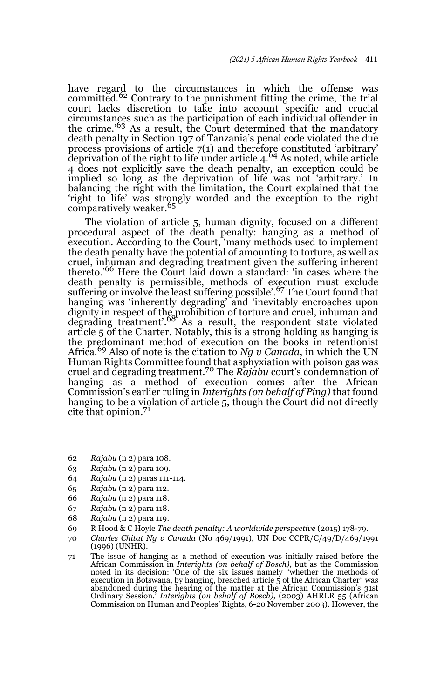have regard to the circumstances in which the offense was committed.<sup>62</sup> Contrary to the punishment fitting the crime, 'the trial court lacks discretion to take into account specific and crucial circumstances such as the participation of each individual offender in the crime.'63 As a result, the Court determined that the mandatory death penalty in Section 197 of Tanzania's penal code violated the due process provisions of article 7(1) and therefore constituted 'arbitrary' deprivation of the right to life under article 4.64 As noted, while article 4 does not explicitly save the death penalty, an exception could be implied so long as the deprivation of life was not 'arbitrary.' In balancing the right with the limitation, the Court explained that the 'right to life' was strongly worded and the exception to the right comparatively weaker.<sup>65</sup>

The violation of article 5, human dignity, focused on a different procedural aspect of the death penalty: hanging as a method of execution. According to the Court, 'many methods used to implement the death penalty have the potential of amounting to torture, as well as cruel, inhuman and degrading treatment given the suffering inherent thereto.'66 Here the Court laid down a standard: 'in cases where the death penalty is permissible, methods of execution must exclude suffering or involve the least suffering possible'.<sup>67</sup> The Court found that hanging was 'inherently degrading' and 'inevitably encroaches upon dignity in respect of the prohibition of torture and cruel, inhuman and degrading treatment'.68 As a result, the respondent state violated article 5 of the Charter. Notably, this is a strong holding as hanging is the predominant method of execution on the books in retentionist Africa.69 Also of note is the citation to *Ng v Canada*, in which the UN Human Rights Committee found that asphyxiation with poison gas was cruel and degrading treatment.70 The *Rajabu* court's condemnation of hanging as a method of execution comes after the African Commission's earlier ruling in *Interights (on behalf of Ping)* that found hanging to be a violation of article 5, though the Court did not directly cite that opinion.<sup>71</sup>

- 62 *Rajabu* (n 2) para 108.
- 63 *Rajabu* (n 2) para 109.
- 64 *Rajabu* (n 2) paras 111-114.
- 65 *Rajabu* (n 2) para 112.
- 66 *Rajabu* (n 2) para 118.
- 67 *Rajabu* (n 2) para 118.
- 68 *Rajabu* (n 2) para 119.
- 69 R Hood & C Hoyle *The death penalty: A worldwide perspective* (2015) 178-79.
- 70 *Charles Chitat Ng v Canada* (No 469/1991), UN Doc CCPR/C/49/D/469/1991 (1996) (UNHR).
- 71 The issue of hanging as a method of execution was initially raised before the African Commission in *Interights (on behalf of Bosch)*, but as the Commission noted in its decision: 'One of the six issues namely "whether the methods of execution in Botswana, by hanging, breached article 5 of the African Charter" was abandoned during the hearing of the matter at the African Commission's 31st Ordinary Session.' *Interights (on behalf of Bosch)*, (2003) AHRLR 55 (African Commission on Human and Peoples' Rights, 6-20 November 2003). However, the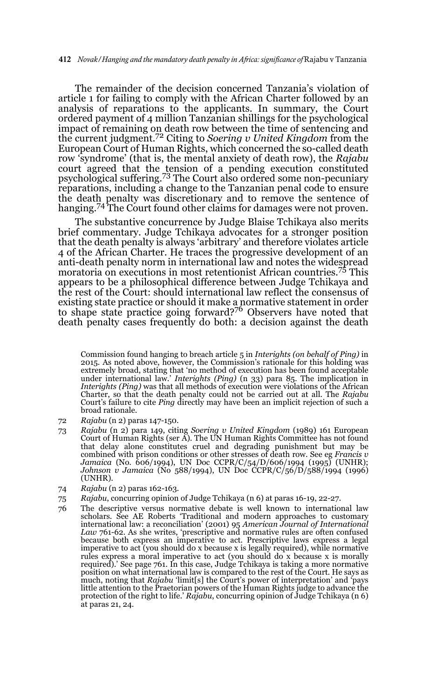The remainder of the decision concerned Tanzania's violation of article 1 for failing to comply with the African Charter followed by an analysis of reparations to the applicants. In summary, the Court ordered payment of 4 million Tanzanian shillings for the psychological impact of remaining on death row between the time of sentencing and the current judgment.72 Citing to *Soering v United Kingdom* from the European Court of Human Rights, which concerned the so-called death row 'syndrome' (that is, the mental anxiety of death row), the *Rajabu* court agreed that the tension of a pending execution constituted psychological suffering.73 The Court also ordered some non-pecuniary reparations, including a change to the Tanzanian penal code to ensure the death penalty was discretionary and to remove the sentence of hanging.<sup>74</sup> The Court found other claims for damages were not proven.

The substantive concurrence by Judge Blaise Tchikaya also merits brief commentary. Judge Tchikaya advocates for a stronger position that the death penalty is always 'arbitrary' and therefore violates article 4 of the African Charter. He traces the progressive development of an anti-death penalty norm in international law and notes the widespread moratoria on executions in most retentionist African countries.75 This appears to be a philosophical difference between Judge Tchikaya and the rest of the Court: should international law reflect the consensus of existing state practice or should it make a normative statement in order<br>to shape state practice going forward?<sup>76</sup> Observers have noted that death penalty cases frequently do both: a decision against the death

- 72 *Rajabu* (n 2) paras 147-150.
- 73 *Rajabu* (n 2) para 149, citing *Soering v United Kingdom* (1989) 161 European Court of Human Rights (ser A). The UN Human Rights Committee has not found that delay alone constitutes cruel and degrading punishment but may be combined with prison conditions or other stresses of death row. See eg *Francis v Jamaica* (No. 606/1994), UN Doc CCPR/C/54/D/606/1994 (1995) (UNHR); *Johnson v Jamaica* (No 588/1994), UN Doc CCPR/C/56/D/588/1994 (1996) (UNHR).
- 74 *Rajabu* (n 2) paras 162-163.
- 75 *Rajabu*, concurring opinion of Judge Tchikaya (n 6) at paras 16-19, 22-27.
- 76 The descriptive versus normative debate is well known to international law<br>scholars. See AE Roberts 'Traditional and modern approaches to customary<br>international law: a reconciliation' (2001) 95 American Journal of Inte *Law* 761-62. As she writes, 'prescriptive and normative rules are often confused because both express an imperative to act. Prescriptive laws express a legal imperative to act (you should do x because x is legally required), while normative rules express a moral imperative to act (you should do x because x is morally required).' See page 761. In this case, Judge Tchikaya is taking a more normative position on what international law is compared to the rest of the Court. He says as much, noting that *Rajabu* 'limit[s] the Court's power of interpretation' and 'pays little attention to the Praetorian powers of the Human Rights judge to advance the protection of the right to life.' *Rajabu*, concurring opinion of Judge Tchikaya (n 6) at paras 21, 24.

<sup>71</sup> Commission found hanging to breach article 5 in *Interights (on behalf of Ping)* in 2015. As noted above, however, the Commission's rationale for this holding was extremely broad, stating that 'no method of execution has been found acceptable under international law.' *Interights (Ping)* (n 33) para 85. The implication in *Interights (Ping)* was that all methods of execution were violations of the African Charter, so that the death penalty could not be carried out at all. The *Rajabu* Court's failure to cite *Ping* directly may have been an implicit rejection of such a broad rationale.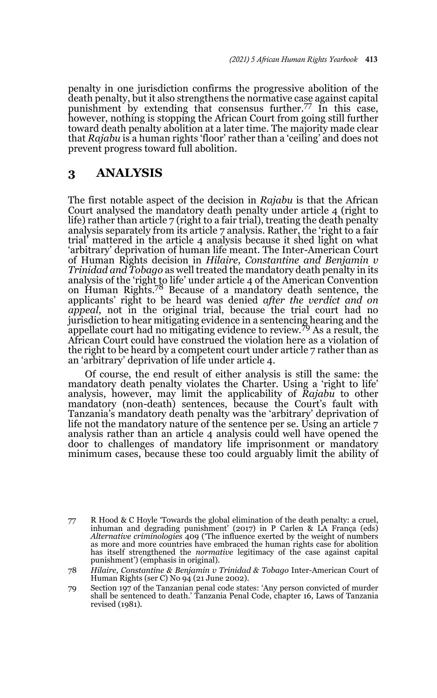penalty in one jurisdiction confirms the progressive abolition of the death penalty, but it also strengthens the normative case against capital punishment by extending that consensus further.77 In this case, however, nothing is stopping the African Court from going still further toward death penalty abolition at a later time. The majority made clear that *Rajabu* is a human rights 'floor' rather than a 'ceiling' and does not prevent progress toward full abolition.

## **3 ANALYSIS**

The first notable aspect of the decision in *Rajabu* is that the African Court analysed the mandatory death penalty under article 4 (right to life) rather than article 7 (right to a fair trial), treating the death penalty analysis separately from its article 7 analysis. Rather, the 'right to a fair trial' mattered in the article 4 analysis because it shed light on what 'arbitrary' deprivation of human life meant. The Inter-American Court of Human Rights decision in *Hilaire, Constantine and Benjamin v Trinidad and Tobago* as well treated the mandatory death penalty in its analysis of the 'right to life' under article 4 of the American Convention on Human Rights.78 Because of a mandatory death sentence, the applicants' right to be heard was denied *after the verdict and on appeal*, not in the original trial, because the trial court had no jurisdiction to hear mitigating evidence in a sentencing hearing and the appellate court had no mitigating evidence to review.79 As a result, the African Court could have construed the violation here as a violation of the right to be heard by a competent court under article 7 rather than as an 'arbitrary' deprivation of life under article 4.

Of course, the end result of either analysis is still the same: the mandatory death penalty violates the Charter. Using a 'right to life' analysis, however, may limit the applicability of *Rajabu* to other mandatory (non-death) sentences, because the Court's fault with Tanzania's mandatory death penalty was the 'arbitrary' deprivation of life not the mandatory nature of the sentence per se. Using an article 7 analysis rather than an article 4 analysis could well have opened the door to challenges of mandatory life imprisonment or mandatory minimum cases, because these too could arguably limit the ability of

<sup>77</sup> R Hood & C Hoyle 'Towards the global elimination of the death penalty: a cruel, inhuman and degrading punishment' (2017) in P Carlen & LA França (eds) *Alternative criminologies* 409 ('The influence exerted by the weight of numbers as more and more countries have embraced the human rights case for abolition has itself strengthened the *normative* legitimacy of the case against capital punishment') (emphasis in original).

<sup>78</sup> *Hilaire, Constantine & Benjamin v Trinidad & Tobago* Inter-American Court of Human Rights (ser C) No 94 (21 June 2002).

<sup>79</sup> Section 197 of the Tanzanian penal code states: 'Any person convicted of murder shall be sentenced to death.' Tanzania Penal Code, chapter 16, Laws of Tanzania revised (1981).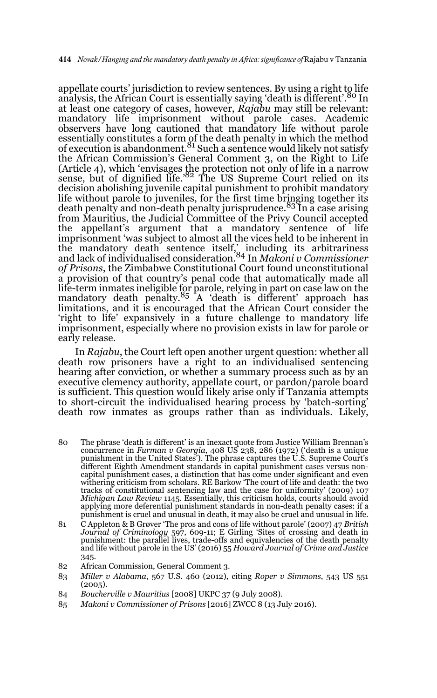appellate courts' jurisdiction to review sentences. By using a right to life analysis, the African Court is essentially saying 'death is different'.<sup>80</sup> In at least one category of cases, however, *Rajabu* may still be relevant: mandatory life imprisonment without parole cases. Academic observers have long cautioned that mandatory life without parole essentially constitutes a form of the death penalty in which the method<br>of execution is abandonment.<sup>81</sup> Such a sentence would likely not satisfy the African Commission's General Comment 3, on the Right to Life (Article 4), which 'envisages the protection not only of life in a narrow<br>sense, but of dignified life.'<sup>82</sup> The US Supreme Court relied on its decision abolishing juvenile capital punishment to prohibit mandatory life without parole to juveniles, for the first time bringing together its death penalty and non-death penalty jurisprudence.83 In a case arising from Mauritius, the Judicial Committee of the Privy Council accepted the appellant's argument that a mandatory sentence of life imprisonment 'was subject to almost all the vices held to be inherent in the mandatory death sentence itself,' including its arbitrariness and lack of individualised consideration.84 In *Makoni v Commissioner of Prisons*, the Zimbabwe Constitutional Court found unconstitutional a provision of that country's penal code that automatically made all life-term inmates ineligible for parole, relying in part on case law on the<br>mandatory death penalty.<sup>85</sup> A 'death is different' approach has limitations, and it is encouraged that the African Court consider the 'right to life' expansively in a future challenge to mandatory life imprisonment, especially where no provision exists in law for parole or early release.

In *Rajabu*, the Court left open another urgent question: whether all death row prisoners have a right to an individualised sentencing hearing after conviction, or whether a summary process such as by an executive clemency authority, appellate court, or pardon/parole board is sufficient. This question would likely arise only if Tanzania attempts to short-circuit the individualised hearing process by 'batch-sorting' death row inmates as groups rather than as individuals. Likely,

- 80 The phrase 'death is different' is an inexact quote from Justice William Brennan's concurrence in *Furman v Georgia*, 408 US 238, 286 (1972) ('death is a unique punishment in the United States'). The phrase captures the U.S. Supreme Court's different Eighth Amendment standards in capital punishment cases versus noncapital punishment cases, a distinction that has come under significant and even withering criticism from scholars. RE Barkow 'The court of life and death: the two tracks of constitutional sentencing law and the case for uniformity' (2009) 107 *Michigan Law Review* 1145. Essentially, this criticism holds, courts should avoid applying more deferential punishment standards in non-death penalty cases: if a punishment is cruel and unusual in death, it may also be cruel and unusual in life.
- 81 C Appleton & B Grøver 'The pros and cons of life without parole' (2007) 47 *British Journal of Criminology* 597, 609-11; E Girling 'Sites of crossing and death in punishment: the parallel lives, trade-offs and equivalencies of the death penalty and life without parole in the US' (2016) 55 *Howard Journal of Crime and Justice* 345.
- 82 African Commission, General Comment 3.
- 83 *Miller v Alabama*, 567 U.S. 460 (2012), citing *Roper v Simmons*, 543 US 551  $(2005).$
- 84 *Boucherville v Mauritius* [2008] UKPC 37 (9 July 2008).
- 85 *Makoni v Commissioner of Prisons* [2016] ZWCC 8 (13 July 2016).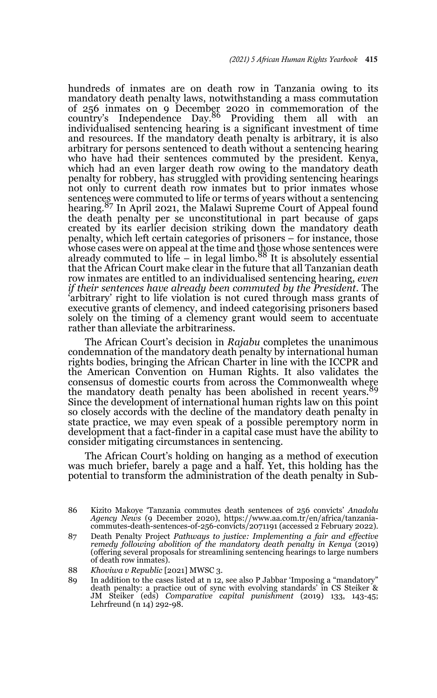hundreds of inmates are on death row in Tanzania owing to its mandatory death penalty laws, notwithstanding a mass commutation of 256 inmates on 9 December 2020 in commemoration of the<br>country's Independence Day.<sup>86</sup> Providing them all with an individualised sentencing hearing is a significant investment of time and resources. If the mandatory death penalty is arbitrary, it is also arbitrary for persons sentenced to death without a sentencing hearing who have had their sentences commuted by the president. Kenya, which had an even larger death row owing to the mandatory death penalty for robbery, has struggled with providing sentencing hearings not only to current death row inmates but to prior inmates whose sentences were commuted to life or terms of years without a sentencing hearing.<sup>87</sup> In April 2021, the Malawi Supreme Court of Appeal found the death penalty per se unconstitutional in part because of gaps created by its earlier decision striking down the mandatory death penalty, which left certain categories of prisoners – for instance, those whose cases were on appeal at the time and those whose sentences were<br>already commuted to life – in legal limbo.<sup>88</sup> It is absolutely essential that the African Court make clear in the future that all Tanzanian death row inmates are entitled to an individualised sentencing hearing, *even if their sentences have already been commuted by the President*. The 'arbitrary' right to life violation is not cured through mass grants of executive grants of clemency, and indeed categorising prisoners based solely on the timing of a clemency grant would seem to accentuate rather than alleviate the arbitrariness.

The African Court's decision in *Rajabu* completes the unanimous condemnation of the mandatory death penalty by international human rights bodies, bringing the African Charter in line with the ICCPR and the American Convention on Human Rights. It also validates the consensus of domestic courts from across the Commonwealth where the mandatory death penalty has been abolished in recent years.<sup>89</sup> Since the development of international human rights law on this point so closely accords with the decline of the mandatory death penalty in state practice, we may even speak of a possible peremptory norm in development that a fact-finder in a capital case must have the ability to consider mitigating circumstances in sentencing.

The African Court's holding on hanging as a method of execution was much briefer, barely a page and a half. Yet, this holding has the potential to transform the administration of the death penalty in Sub-

<sup>86</sup> Kizito Makoye 'Tanzania commutes death sentences of 256 convicts' *Anadolu Agency News* (9 December 2020), https://www.aa.com.tr/en/africa/tanzaniacommutes-death-sentences-of-256-convicts/2071191 (accessed 2 February 2022).

<sup>87</sup> Death Penalty Project *Pathways to justice: Implementing a fair and effective remedy following abolition of the mandatory death penalty in Kenya* (2019) (offering several proposals for streamlining sentencing hearings to large numbers of death row inmates).

<sup>88</sup> *Khoviwa v Republic* [2021] MWSC 3.

<sup>89</sup> In addition to the cases listed at n 12, see also P Jabbar 'Imposing a "mandatory" death penalty: a practice out of sync with evolving standards' in CS Steiker & JM Steiker (eds) *Comparative capital punishment* (2019) 133, 143-45; Lehrfreund (n 14) 292-98.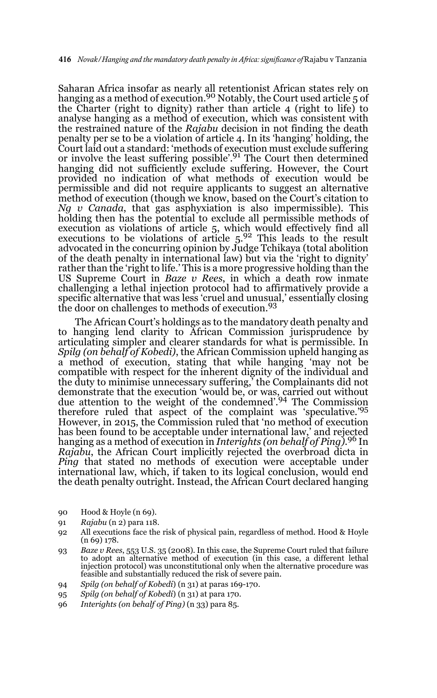Saharan Africa insofar as nearly all retentionist African states rely on hanging as a method of execution.<sup>90</sup> Notably, the Court used article 5 of the Charter (right to dignity) rather than article 4 (right to life) to analyse hanging as a method of execution, which was consistent with the restrained nature of the *Rajabu* decision in not finding the death penalty per se to be a violation of article 4. In its 'hanging' holding, the Court laid out a standard: 'methods of execution must exclude suffering or involve the least suffering possible'.91 The Court then determined hanging did not sufficiently exclude suffering. However, the Court provided no indication of what methods of execution would be permissible and did not require applicants to suggest an alternative method of execution (though we know, based on the Court's citation to *Ng v Canada*, that gas asphyxiation is also impermissible). This holding then has the potential to exclude all permissible methods of execution as violations of article 5, which would effectively find all executions to be violations of article 5.92 This leads to the result advocated in the concurring opinion by Judge Tchikaya (total abolition of the death penalty in international law) but via the 'right to dignity' rather than the 'right to life.' This is a more progressive holding than the US Supreme Court in *Baze v Rees*, in which a death row inmate challenging a lethal injection protocol had to affirmatively provide a specific alternative that was less 'cruel and unusual,' essentially closing the door on challenges to methods of execution.<sup>93</sup>

The African Court's holdings as to the mandatory death penalty and to hanging lend clarity to African Commission jurisprudence by articulating simpler and clearer standards for what is permissible. In *Spilg (on behalf of Kobedi)*, the African Commission upheld hanging as a method of execution, stating that while hanging 'may not be compatible with respect for the inherent dignity of the individual and the duty to minimise unnecessary suffering,' the Complainants did not demonstrate that the execution 'would be, or was, carried out without due attention to the weight of the condemned'.94 The Commission therefore ruled that aspect of the complaint was 'speculative.'95 However, in 2015, the Commission ruled that 'no method of execution has been found to be acceptable under international law,' and rejected hanging as a method of execution in *Interights (on behalf of Ping)*. 96 In *Rajabu*, the African Court implicitly rejected the overbroad dicta in *Ping* that stated no methods of execution were acceptable under international law, which, if taken to its logical conclusion, would end the death penalty outright. Instead, the African Court declared hanging

- 90 Hood & Hoyle (n 69).
- 91 *Rajabu* (n 2) para 118.
- 92 All executions face the risk of physical pain, regardless of method. Hood & Hoyle (n 69) 178.
- 93 *Baze v Rees*, 553 U.S. 35 (2008). In this case, the Supreme Court ruled that failure to adopt an alternative method of execution (in this case, a different lethal injection protocol) was unconstitutional only when the alternative procedure was feasible and substantially reduced the risk of severe pain.
- 94 *Spilg (on behalf of Kobedi*) (n 31) at paras 169-170.
- 95 *Spilg (on behalf of Kobedi*) (n 31) at para 170.
- 96 *Interights (on behalf of Ping)* (n 33) para 85.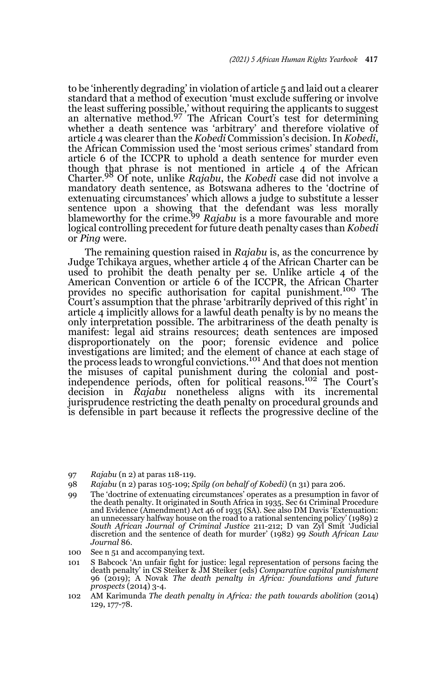to be 'inherently degrading' in violation of article 5 and laid out a clearer standard that a method of execution 'must exclude suffering or involve the least suffering possible,' without requiring the applicants to suggest<br>an alternative method.<sup>97</sup> The African Court's test for determining whether a death sentence was 'arbitrary' and therefore violative of article 4 was clearer than the *Kobedi* Commission's decision. In *Kobedi*, the African Commission used the 'most serious crimes' standard from article 6 of the ICCPR to uphold a death sentence for murder even though that phrase is not mentioned in article 4 of the African Charter.98 Of note, unlike *Rajabu*, the *Kobedi* case did not involve a mandatory death sentence, as Botswana adheres to the 'doctrine of extenuating circumstances' which allows a judge to substitute a lesser sentence upon a showing that the defendant was less morally<br>blameworthy for the crime.<sup>99</sup> *Rajabu* is a more favourable and more logical controlling precedent for future death penalty cases than *Kobedi* or *Ping* were.

The remaining question raised in *Rajabu* is, as the concurrence by Judge Tchikaya argues, whether article 4 of the African Charter can be used to prohibit the death penalty per se. Unlike article 4 of the American Convention or article 6 of the ICCPR, the African Charter provides no specific authorisation for capital punishment.<sup>100</sup> The Court's assumption that the phrase 'arbitrarily deprived of this right' in article 4 implicitly allows for a lawful death penalty is by no means the only interpretation possible. The arbitrariness of the death penalty is manifest: legal aid strains resources; death sentences are imposed disproportionately on the poor; forensic evidence and police investigations are limited; and the element of chance at each stage of the process leads to wrongful convictions.<sup>101</sup> And that does not mention the misuses of capital punishment during the colonial and postindependence periods, often for political reasons.102 The Court's decision in *Rajabu* nonetheless aligns with its incremental jurisprudence restricting the death penalty on procedural grounds and is defensible in part because it reflects the progressive decline of the

- 97 *Rajabu* (n 2) at paras 118-119.
- 98 *Rajabu* (n 2) paras 105-109; *Spilg (on behalf of Kobedi)* (n 31) para 206.
- 99 The 'doctrine of extenuating circumstances' operates as a presumption in favor of the death penalty. It originated in South Africa in 1935. Sec 61 Criminal Procedure and Evidence (Amendment) Act 46 of 1935 (SA). See also DM Davis 'Extenuation: an unnecessary halfway house on the road to a rational sentencing policy' (1989) 2 *South African Journal of Criminal Justice* 211-212; D van Zyl Smit 'Judicial discretion and the sentence of death for murder' (1982) 99 *South African Law Journal* 86.
- 100 See n 51 and accompanying text.
- 101 S Babcock 'An unfair fight for justice: legal representation of persons facing the death penalty' in CS Steiker & JM Steiker (eds) *Comparative capital punishment* 96 (2019); A Novak *The death penalty in Africa: foundations and future prospects* (2014) 3-4.
- 102 AM Karimunda *The death penalty in Africa: the path towards abolition* (2014) 129, 177-78.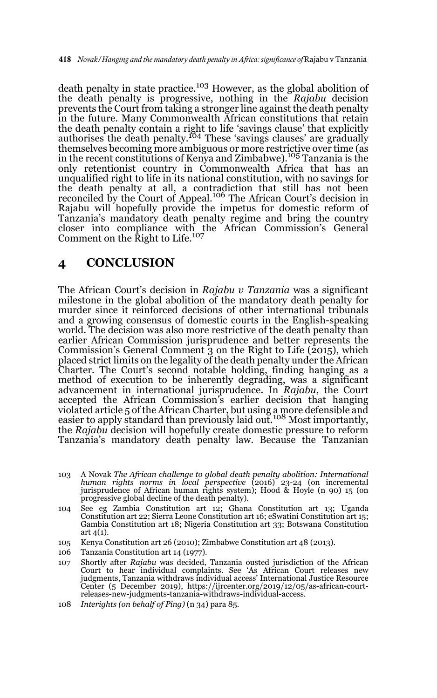death penalty in state practice.<sup>103</sup> However, as the global abolition of the death penalty is progressive, nothing in the *Rajabu* decision prevents the Court from taking a stronger line against the death penalty in the future. Many Commonwealth African constitutions that retain the death penalty contain a right to life 'savings clause' that explicitly authorises the death penalty.<sup>104</sup> These 'savings clauses' are gradually themselves becoming more ambiguous or more restrictive over time (as in the recent constitutions of Kenya and Zimbabwe).105 Tanzania is the only retentionist country in Commonwealth Africa that has an unqualified right to life in its national constitution, with no savings for the death penalty at all, a contradiction that still has not been<br>reconciled by the Court of Appeal.<sup>106</sup> The African Court's decision in Rajabu will hopefully provide the impetus for domestic reform of Tanzania's mandatory death penalty regime and bring the country closer into compliance with the African Commission's General<br>Comment on the Right to Life.<sup>107</sup>

### **4 CONCLUSION**

The African Court's decision in *Rajabu v Tanzania* was a significant milestone in the global abolition of the mandatory death penalty for murder since it reinforced decisions of other international tribunals and a growing consensus of domestic courts in the English-speaking world. The decision was also more restrictive of the death penalty than earlier African Commission jurisprudence and better represents the Commission's General Comment 3 on the Right to Life (2015), which placed strict limits on the legality of the death penalty under the African Charter. The Court's second notable holding, finding hanging as a method of execution to be inherently degrading, was a significant advancement in international jurisprudence. In *Rajabu*, the Court accepted the African Commission's earlier decision that hanging violated article 5 of the African Charter, but using a more defensible and<br>easier to apply standard than previously laid out.<sup>108</sup> Most importantly, the *Rajabu* decision will hopefully create domestic pressure to reform Tanzania's mandatory death penalty law. Because the Tanzanian

- 103 A Novak *The African challenge to global death penalty abolition: International human rights norms in local perspective* (2016) 23-24 (on incremental jurisprudence of African human rights system); Hood & Hoyle (n 90) 15 (on progressive global decline of the death penalty).
- 104 See eg Zambia Constitution art 12; Ghana Constitution art 13; Uganda Constitution art 22; Sierra Leone Constitution art 16; eSwatini Constitution art 15; Gambia Constitution art 18; Nigeria Constitution art 33; Botswana Constitution art  $\Delta(1)$ .
- 105 Kenya Constitution art 26 (2010); Zimbabwe Constitution art 48 (2013).
- 106 Tanzania Constitution art 14 (1977).
- 107 Shortly after *Rajabu* was decided, Tanzania ousted jurisdiction of the African Court to hear individual complaints. See 'As African Court releases new judgments, Tanzania withdraws individual access' International Justice Resource Center (5 December 2019), https://ijrcenter.org/2019/12/05/as-african-courtreleases-new-judgments-tanzania-withdraws-individual-access.
- 108 *Interights (on behalf of Ping)* (n 34) para 85.